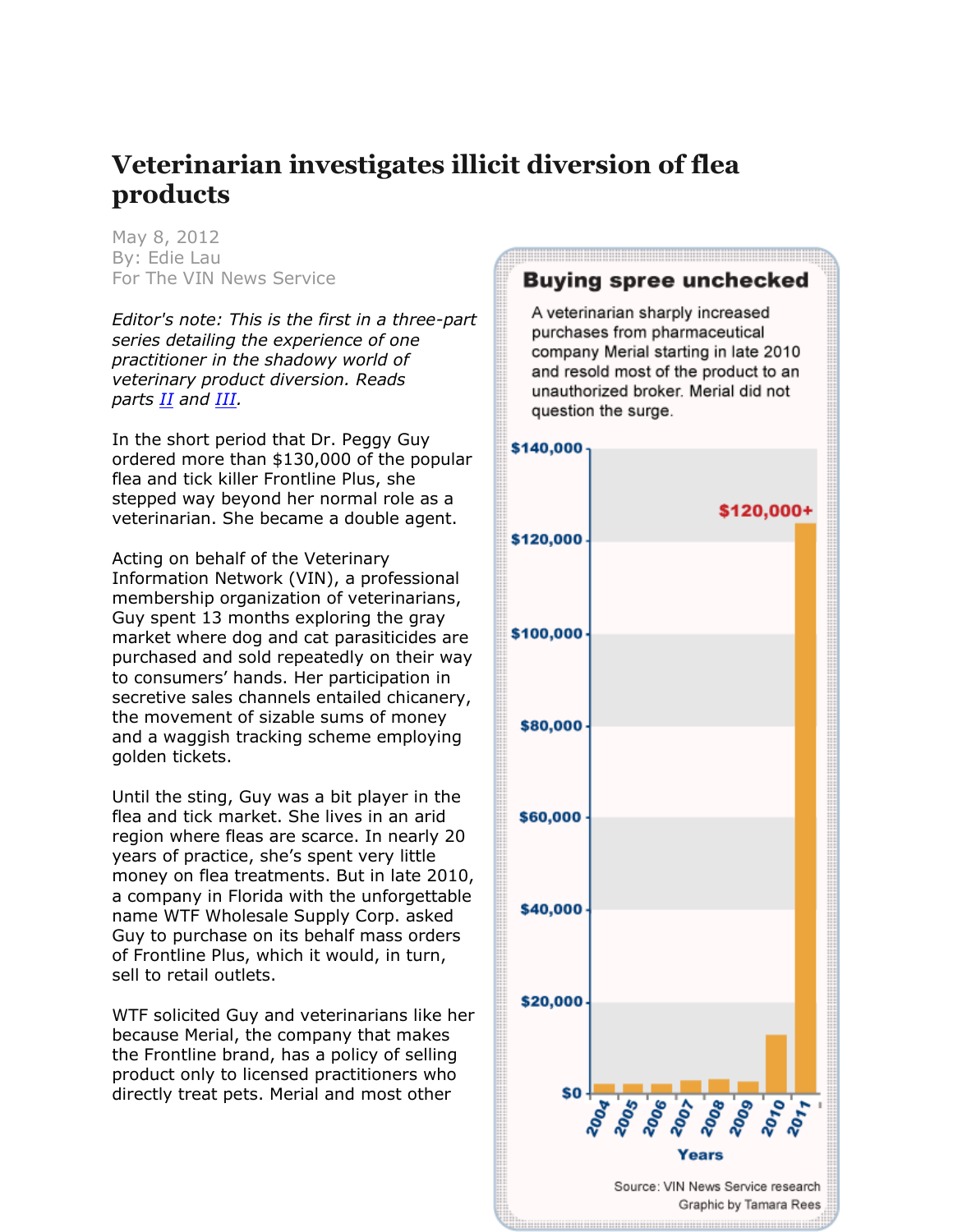# **Veterinarian investigates illicit diversion of flea products**

May 8, 2012 By: Edie Lau For The VIN News Service

*Editor's note: This is the first in a three-part series detailing the experience of one practitioner in the shadowy world of veterinary product diversion. Reads parts [II](http://news.vin.com/VINNews.aspx?articleId=22522) and [III.](http://news.vin.com/VINNews.aspx?articleId=22523)*

In the short period that Dr. Peggy Guy ordered more than \$130,000 of the popular flea and tick killer Frontline Plus, she stepped way beyond her normal role as a veterinarian. She became a double agent.

Acting on behalf of the Veterinary Information Network (VIN), a professional membership organization of veterinarians, Guy spent 13 months exploring the gray market where dog and cat parasiticides are purchased and sold repeatedly on their way to consumers' hands. Her participation in secretive sales channels entailed chicanery, the movement of sizable sums of money and a waggish tracking scheme employing golden tickets.

Until the sting, Guy was a bit player in the flea and tick market. She lives in an arid region where fleas are scarce. In nearly 20 years of practice, she's spent very little money on flea treatments. But in late 2010, a company in Florida with the unforgettable name WTF Wholesale Supply Corp. asked Guy to purchase on its behalf mass orders of Frontline Plus, which it would, in turn, sell to retail outlets.

WTF solicited Guy and veterinarians like her because Merial, the company that makes the Frontline brand, has a policy of selling product only to licensed practitioners who directly treat pets. Merial and most other

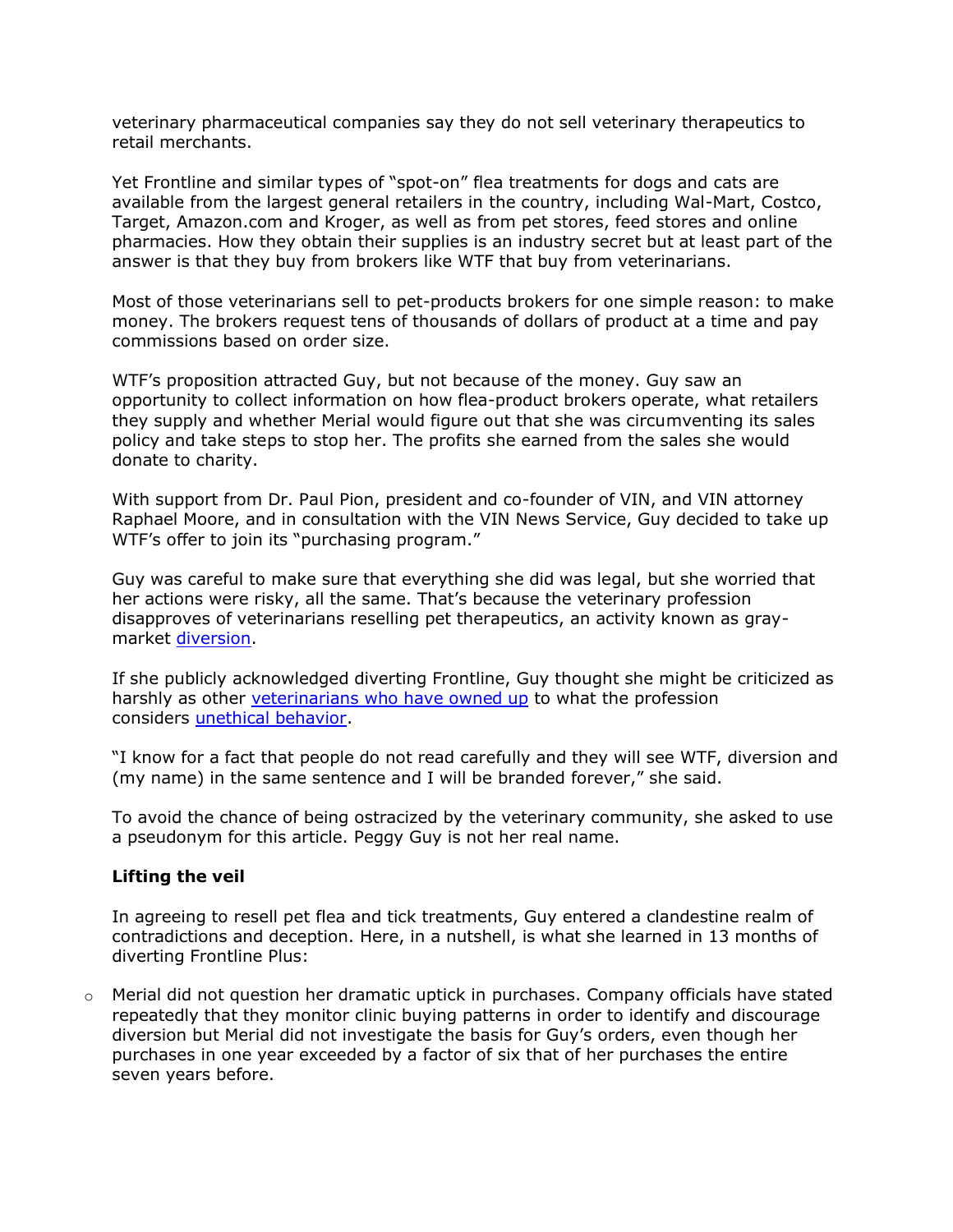veterinary pharmaceutical companies say they do not sell veterinary therapeutics to retail merchants.

Yet Frontline and similar types of "spot-on" flea treatments for dogs and cats are available from the largest general retailers in the country, including Wal-Mart, Costco, Target, Amazon.com and Kroger, as well as from pet stores, feed stores and online pharmacies. How they obtain their supplies is an industry secret but at least part of the answer is that they buy from brokers like WTF that buy from veterinarians.

Most of those veterinarians sell to pet-products brokers for one simple reason: to make money. The brokers request tens of thousands of dollars of product at a time and pay commissions based on order size.

WTF's proposition attracted Guy, but not because of the money. Guy saw an opportunity to collect information on how flea-product brokers operate, what retailers they supply and whether Merial would figure out that she was circumventing its sales policy and take steps to stop her. The profits she earned from the sales she would donate to charity.

With support from Dr. Paul Pion, president and co-founder of VIN, and VIN attorney Raphael Moore, and in consultation with the VIN News Service, Guy decided to take up WTF's offer to join its "purchasing program."

Guy was careful to make sure that everything she did was legal, but she worried that her actions were risky, all the same. That's because the veterinary profession disapproves of veterinarians reselling pet therapeutics, an activity known as graymarket [diversion.](http://news.vin.com/VINNews.aspx?articleId=12576)

If she publicly acknowledged diverting Frontline, Guy thought she might be criticized as harshly as other [veterinarians who have owned up](http://news.vin.com/VINNews.aspx?articleId=19643) to what the profession considers [unethical behavior.](http://www.avma.org/issues/policy/ethics.asp)

"I know for a fact that people do not read carefully and they will see WTF, diversion and (my name) in the same sentence and I will be branded forever," she said.

To avoid the chance of being ostracized by the veterinary community, she asked to use a pseudonym for this article. Peggy Guy is not her real name.

## **Lifting the veil**

In agreeing to resell pet flea and tick treatments, Guy entered a clandestine realm of contradictions and deception. Here, in a nutshell, is what she learned in 13 months of diverting Frontline Plus:

 $\circ$  Merial did not question her dramatic uptick in purchases. Company officials have stated repeatedly that they monitor clinic buying patterns in order to identify and discourage diversion but Merial did not investigate the basis for Guy's orders, even though her purchases in one year exceeded by a factor of six that of her purchases the entire seven years before.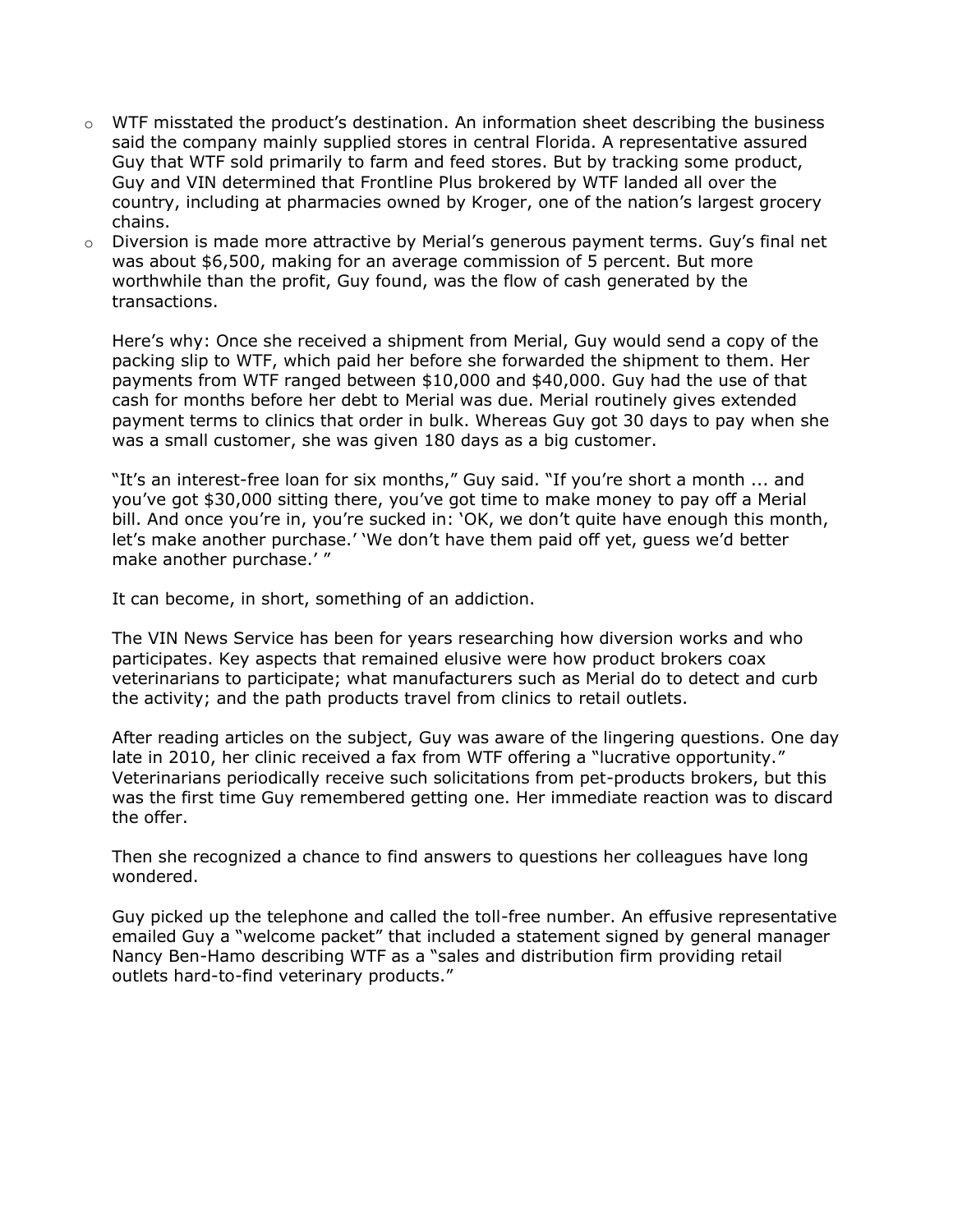- $\circ$  WTF misstated the product's destination. An information sheet describing the business said the company mainly supplied stores in central Florida. A representative assured Guy that WTF sold primarily to farm and feed stores. But by tracking some product, Guy and VIN determined that Frontline Plus brokered by WTF landed all over the country, including at pharmacies owned by Kroger, one of the nation's largest grocery chains.
- o Diversion is made more attractive by Merial's generous payment terms. Guy's final net was about \$6,500, making for an average commission of 5 percent. But more worthwhile than the profit, Guy found, was the flow of cash generated by the transactions.

Here's why: Once she received a shipment from Merial, Guy would send a copy of the packing slip to WTF, which paid her before she forwarded the shipment to them. Her payments from WTF ranged between \$10,000 and \$40,000. Guy had the use of that cash for months before her debt to Merial was due. Merial routinely gives extended payment terms to clinics that order in bulk. Whereas Guy got 30 days to pay when she was a small customer, she was given 180 days as a big customer.

"It's an interest-free loan for six months," Guy said. "If you're short a month ... and you've got \$30,000 sitting there, you've got time to make money to pay off a Merial bill. And once you're in, you're sucked in: 'OK, we don't quite have enough this month, let's make another purchase.' 'We don't have them paid off yet, guess we'd better make another purchase.' "

It can become, in short, something of an addiction.

The VIN News Service has been for years researching how diversion works and who participates. Key aspects that remained elusive were how product brokers coax veterinarians to participate; what manufacturers such as Merial do to detect and curb the activity; and the path products travel from clinics to retail outlets.

After reading articles on the subject, Guy was aware of the lingering questions. One day late in 2010, her clinic received a fax from WTF offering a "lucrative opportunity." Veterinarians periodically receive such solicitations from pet-products brokers, but this was the first time Guy remembered getting one. Her immediate reaction was to discard the offer.

Then she recognized a chance to find answers to questions her colleagues have long wondered.

Guy picked up the telephone and called the toll-free number. An effusive representative emailed Guy a "welcome packet" that included a statement signed by general manager Nancy Ben-Hamo describing WTF as a "sales and distribution firm providing retail outlets hard-to-find veterinary products."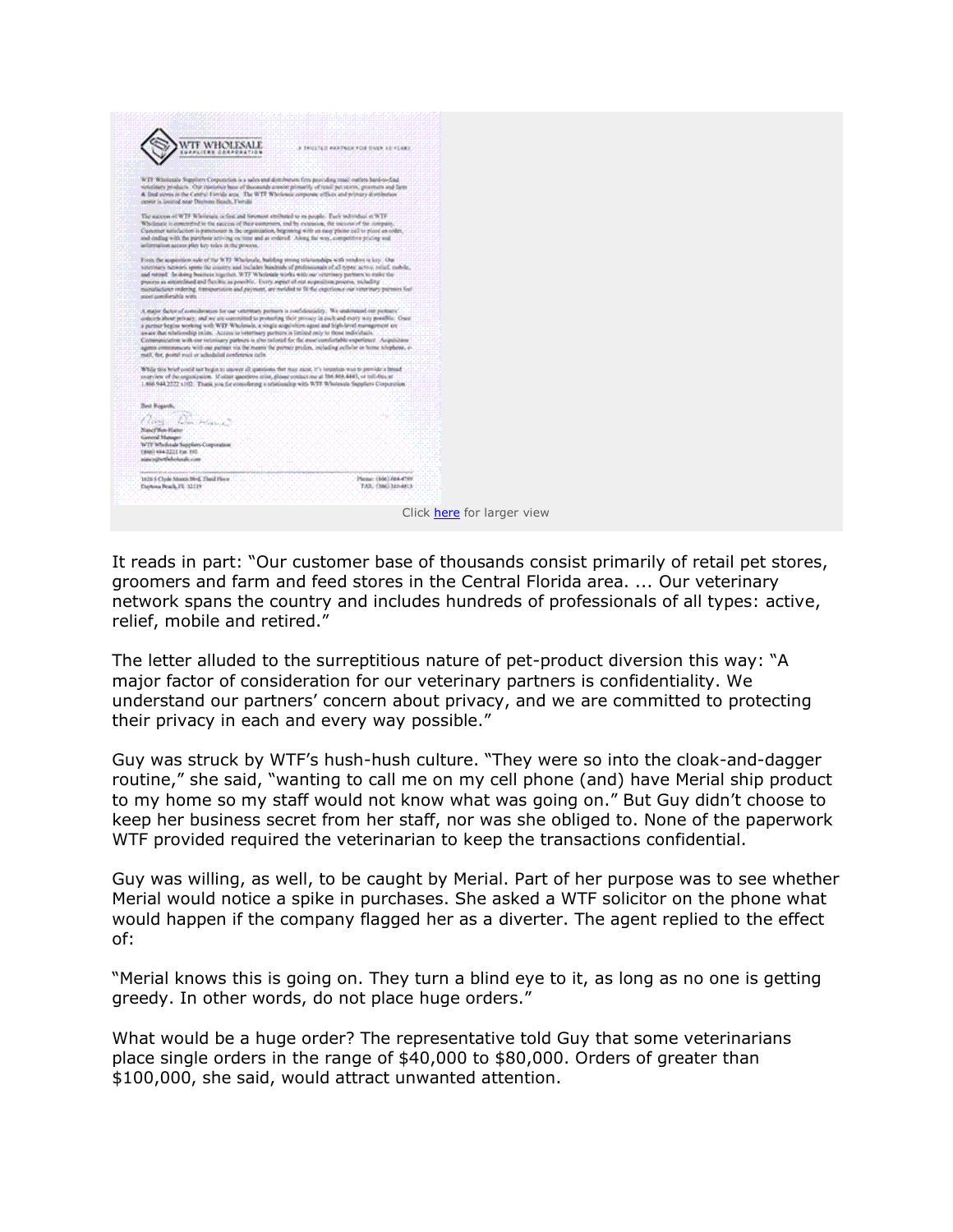

It reads in part: "Our customer base of thousands consist primarily of retail pet stores, groomers and farm and feed stores in the Central Florida area. ... Our veterinary network spans the country and includes hundreds of professionals of all types: active, relief, mobile and retired."

The letter alluded to the surreptitious nature of pet-product diversion this way: "A major factor of consideration for our veterinary partners is confidentiality. We understand our partners' concern about privacy, and we are committed to protecting their privacy in each and every way possible."

Guy was struck by WTF's hush-hush culture. "They were so into the cloak-and-dagger routine," she said, "wanting to call me on my cell phone (and) have Merial ship product to my home so my staff would not know what was going on." But Guy didn't choose to keep her business secret from her staff, nor was she obliged to. None of the paperwork WTF provided required the veterinarian to keep the transactions confidential.

Guy was willing, as well, to be caught by Merial. Part of her purpose was to see whether Merial would notice a spike in purchases. She asked a WTF solicitor on the phone what would happen if the company flagged her as a diverter. The agent replied to the effect of:

"Merial knows this is going on. They turn a blind eye to it, as long as no one is getting greedy. In other words, do not place huge orders."

What would be a huge order? The representative told Guy that some veterinarians place single orders in the range of \$40,000 to \$80,000. Orders of greater than \$100,000, she said, would attract unwanted attention.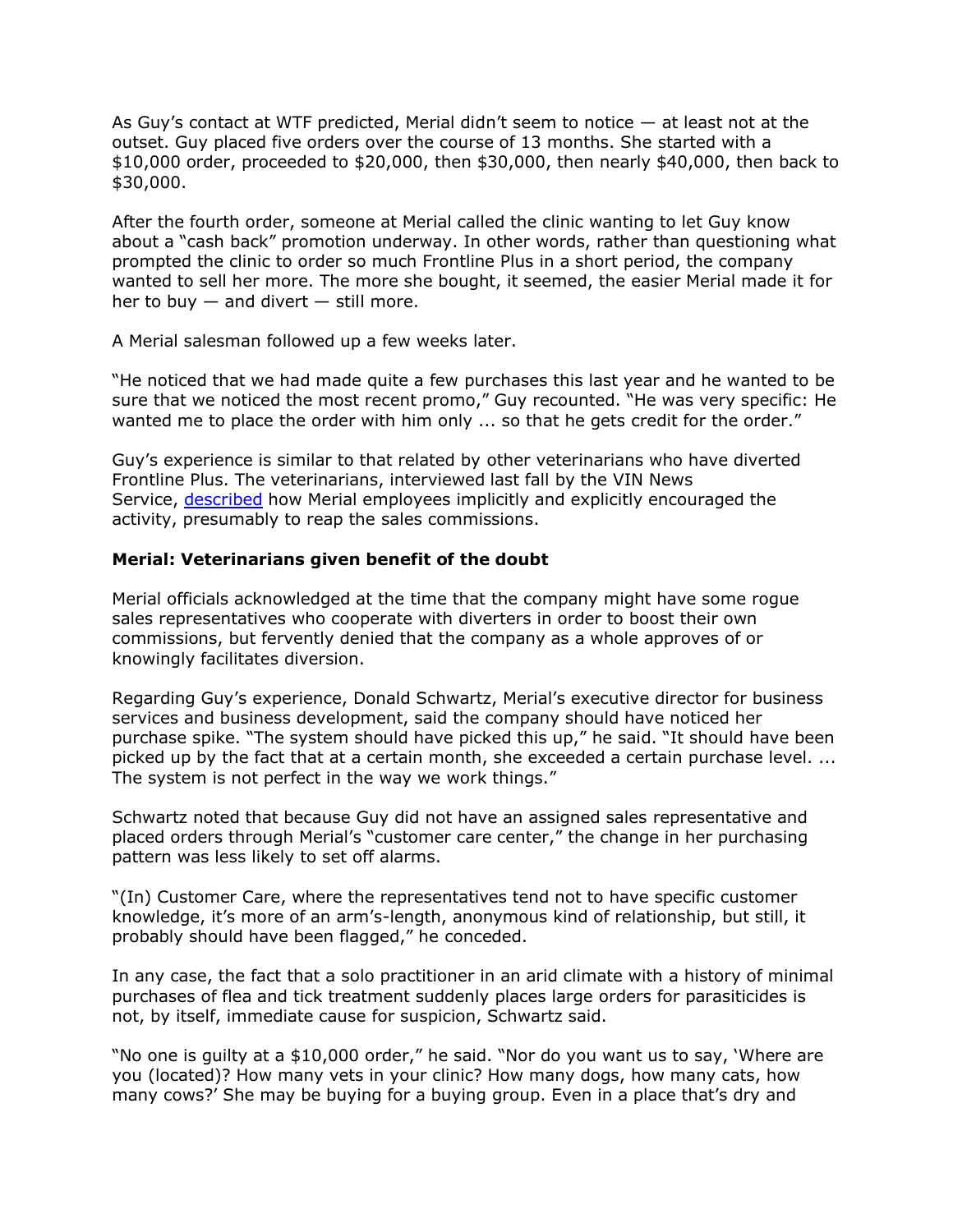As Guy's contact at WTF predicted, Merial didn't seem to notice — at least not at the outset. Guy placed five orders over the course of 13 months. She started with a \$10,000 order, proceeded to \$20,000, then \$30,000, then nearly \$40,000, then back to \$30,000.

After the fourth order, someone at Merial called the clinic wanting to let Guy know about a "cash back" promotion underway. In other words, rather than questioning what prompted the clinic to order so much Frontline Plus in a short period, the company wanted to sell her more. The more she bought, it seemed, the easier Merial made it for her to buy  $-$  and divert  $-$  still more.

A Merial salesman followed up a few weeks later.

"He noticed that we had made quite a few purchases this last year and he wanted to be sure that we noticed the most recent promo," Guy recounted. "He was very specific: He wanted me to place the order with him only ... so that he gets credit for the order."

Guy's experience is similar to that related by other veterinarians who have diverted Frontline Plus. The veterinarians, interviewed last fall by the VIN News Service, [described](http://news.vin.com/VINNews.aspx?articleId=20241) how Merial employees implicitly and explicitly encouraged the activity, presumably to reap the sales commissions.

## **Merial: Veterinarians given benefit of the doubt**

Merial officials acknowledged at the time that the company might have some rogue sales representatives who cooperate with diverters in order to boost their own commissions, but fervently denied that the company as a whole approves of or knowingly facilitates diversion.

Regarding Guy's experience, Donald Schwartz, Merial's executive director for business services and business development, said the company should have noticed her purchase spike. "The system should have picked this up," he said. "It should have been picked up by the fact that at a certain month, she exceeded a certain purchase level. ... The system is not perfect in the way we work things."

Schwartz noted that because Guy did not have an assigned sales representative and placed orders through Merial's "customer care center," the change in her purchasing pattern was less likely to set off alarms.

"(In) Customer Care, where the representatives tend not to have specific customer knowledge, it's more of an arm's-length, anonymous kind of relationship, but still, it probably should have been flagged," he conceded.

In any case, the fact that a solo practitioner in an arid climate with a history of minimal purchases of flea and tick treatment suddenly places large orders for parasiticides is not, by itself, immediate cause for suspicion, Schwartz said.

"No one is guilty at a \$10,000 order," he said. "Nor do you want us to say, 'Where are you (located)? How many vets in your clinic? How many dogs, how many cats, how many cows?' She may be buying for a buying group. Even in a place that's dry and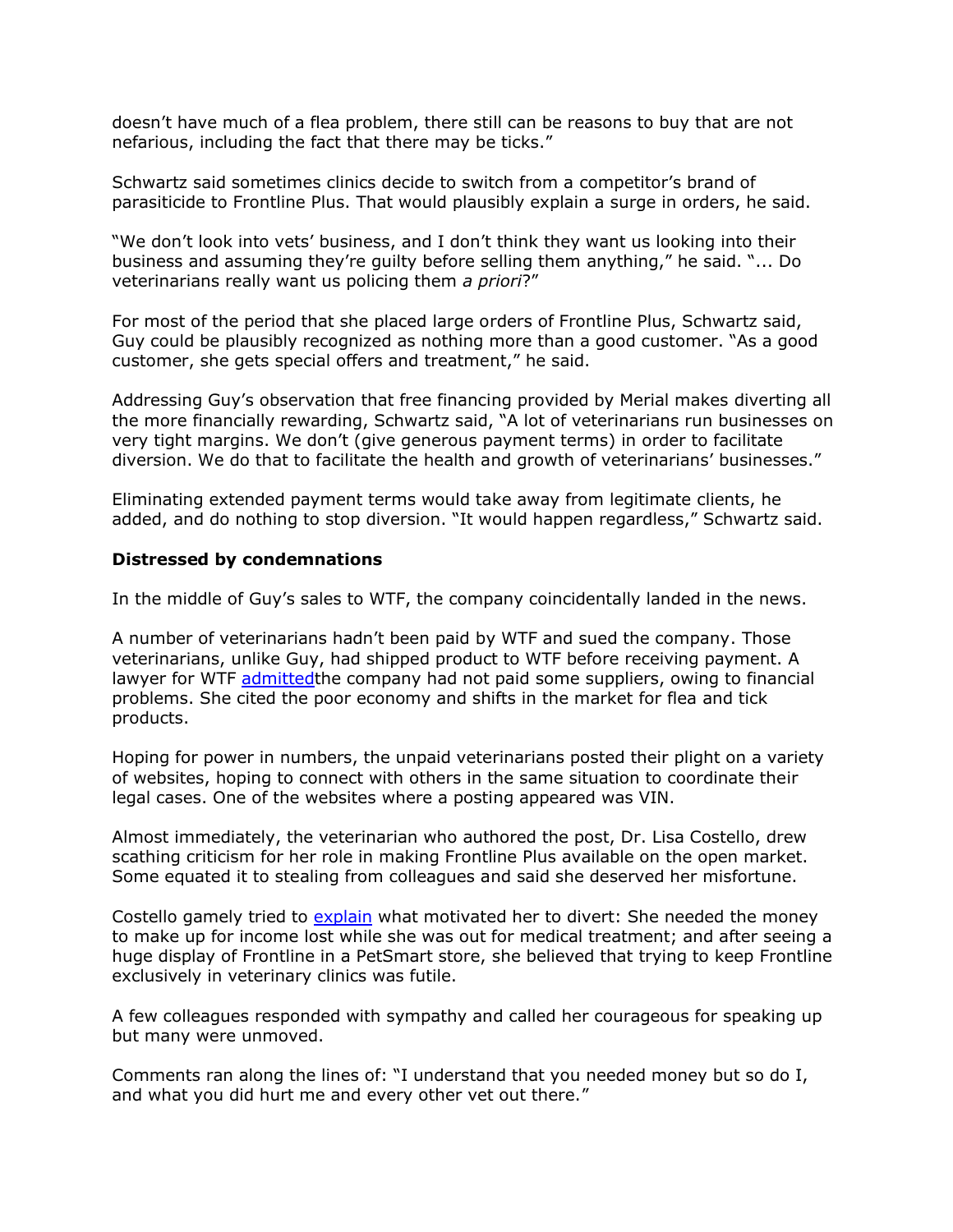doesn't have much of a flea problem, there still can be reasons to buy that are not nefarious, including the fact that there may be ticks."

Schwartz said sometimes clinics decide to switch from a competitor's brand of parasiticide to Frontline Plus. That would plausibly explain a surge in orders, he said.

"We don't look into vets' business, and I don't think they want us looking into their business and assuming they're guilty before selling them anything," he said. "... Do veterinarians really want us policing them *a priori*?"

For most of the period that she placed large orders of Frontline Plus, Schwartz said, Guy could be plausibly recognized as nothing more than a good customer. "As a good customer, she gets special offers and treatment," he said.

Addressing Guy's observation that free financing provided by Merial makes diverting all the more financially rewarding, Schwartz said, "A lot of veterinarians run businesses on very tight margins. We don't (give generous payment terms) in order to facilitate diversion. We do that to facilitate the health and growth of veterinarians' businesses."

Eliminating extended payment terms would take away from legitimate clients, he added, and do nothing to stop diversion. "It would happen regardless," Schwartz said.

#### **Distressed by condemnations**

In the middle of Guy's sales to WTF, the company coincidentally landed in the news.

A number of veterinarians hadn't been paid by WTF and sued the company. Those veterinarians, unlike Guy, had shipped product to WTF before receiving payment. A lawyer for WTF [admittedt](http://news.vin.com/VINNews.aspx?articleId=19643)he company had not paid some suppliers, owing to financial problems. She cited the poor economy and shifts in the market for flea and tick products.

Hoping for power in numbers, the unpaid veterinarians posted their plight on a variety of websites, hoping to connect with others in the same situation to coordinate their legal cases. One of the websites where a posting appeared was VIN.

Almost immediately, the veterinarian who authored the post, Dr. Lisa Costello, drew scathing criticism for her role in making Frontline Plus available on the open market. Some equated it to stealing from colleagues and said she deserved her misfortune.

Costello gamely tried to [explain](http://www.vin.com/members/boards/DiscussionViewer.aspx?DocumentId=4932154&MessageId=6157747&SAId=1#Msg41) what motivated her to divert: She needed the money to make up for income lost while she was out for medical treatment; and after seeing a huge display of Frontline in a PetSmart store, she believed that trying to keep Frontline exclusively in veterinary clinics was futile.

A few colleagues responded with sympathy and called her courageous for speaking up but many were unmoved.

Comments ran along the lines of: "I understand that you needed money but so do I, and what you did hurt me and every other vet out there."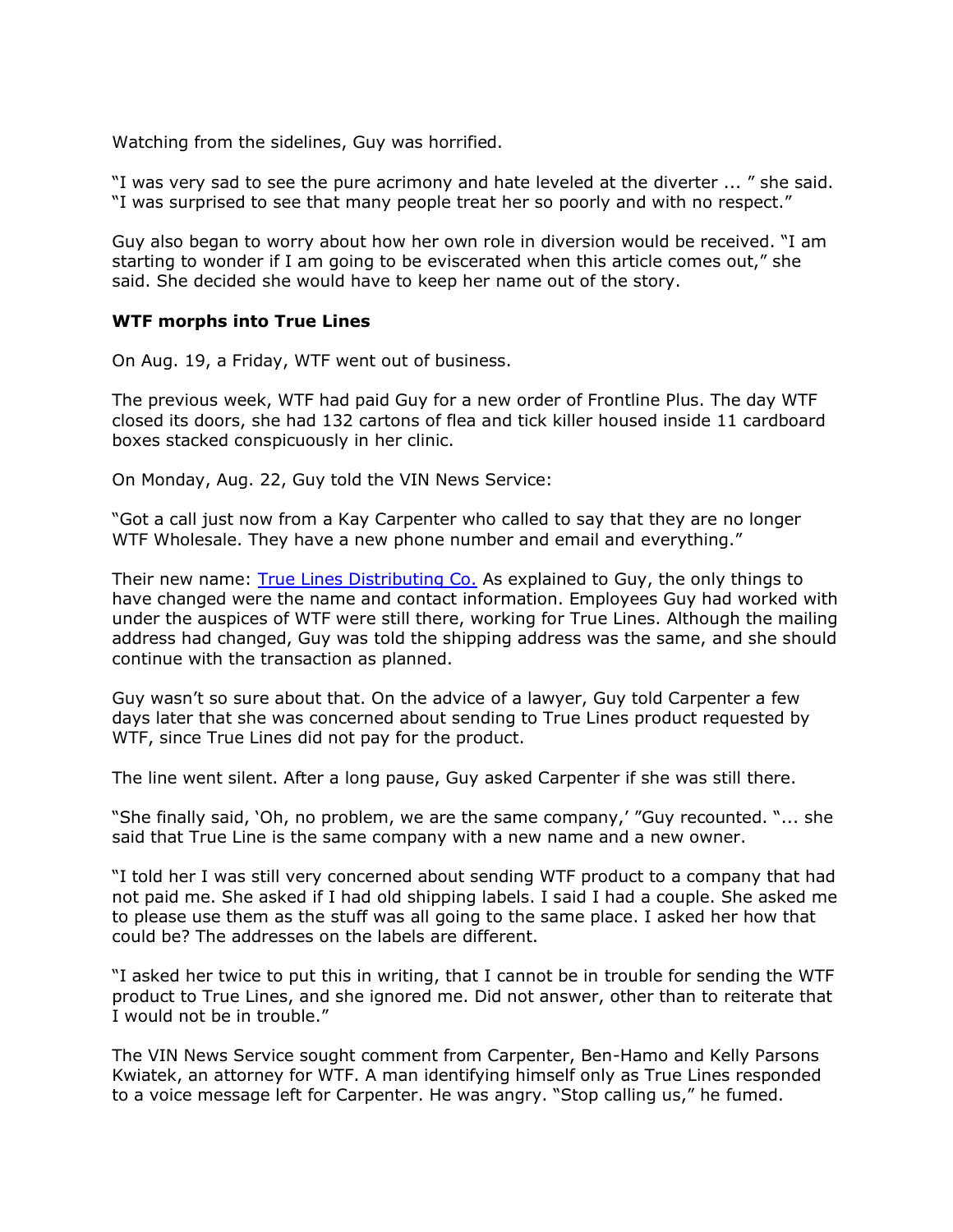Watching from the sidelines, Guy was horrified.

"I was very sad to see the pure acrimony and hate leveled at the diverter ... " she said. "I was surprised to see that many people treat her so poorly and with no respect."

Guy also began to worry about how her own role in diversion would be received. "I am starting to wonder if I am going to be eviscerated when this article comes out," she said. She decided she would have to keep her name out of the story.

#### **WTF morphs into True Lines**

On Aug. 19, a Friday, WTF went out of business.

The previous week, WTF had paid Guy for a new order of Frontline Plus. The day WTF closed its doors, she had 132 cartons of flea and tick killer housed inside 11 cardboard boxes stacked conspicuously in her clinic.

On Monday, Aug. 22, Guy told the VIN News Service:

"Got a call just now from a Kay Carpenter who called to say that they are no longer WTF Wholesale. They have a new phone number and email and everything."

Their new name: [True Lines Distributing Co.](http://truelinesdc.com/) As explained to Guy, the only things to have changed were the name and contact information. Employees Guy had worked with under the auspices of WTF were still there, working for True Lines. Although the mailing address had changed, Guy was told the shipping address was the same, and she should continue with the transaction as planned.

Guy wasn't so sure about that. On the advice of a lawyer, Guy told Carpenter a few days later that she was concerned about sending to True Lines product requested by WTF, since True Lines did not pay for the product.

The line went silent. After a long pause, Guy asked Carpenter if she was still there.

"She finally said, 'Oh, no problem, we are the same company,' "Guy recounted. "... she said that True Line is the same company with a new name and a new owner.

"I told her I was still very concerned about sending WTF product to a company that had not paid me. She asked if I had old shipping labels. I said I had a couple. She asked me to please use them as the stuff was all going to the same place. I asked her how that could be? The addresses on the labels are different.

"I asked her twice to put this in writing, that I cannot be in trouble for sending the WTF product to True Lines, and she ignored me. Did not answer, other than to reiterate that I would not be in trouble."

The VIN News Service sought comment from Carpenter, Ben-Hamo and Kelly Parsons Kwiatek, an attorney for WTF. A man identifying himself only as True Lines responded to a voice message left for Carpenter. He was angry. "Stop calling us," he fumed.